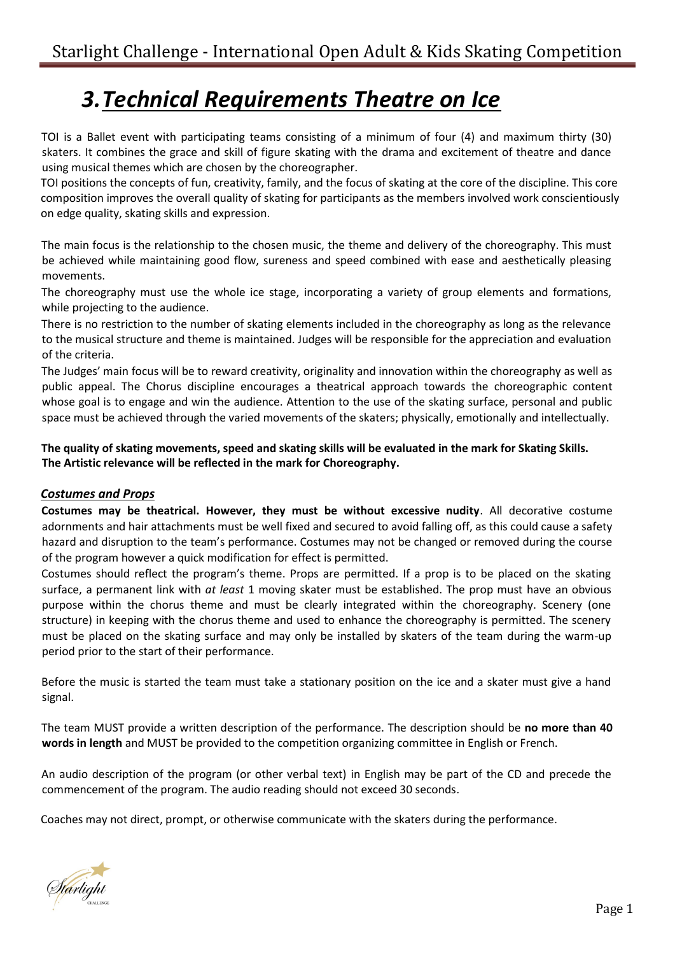## *3.Technical Requirements Theatre on Ice*

TOI is a Ballet event with participating teams consisting of a minimum of four (4) and maximum thirty (30) skaters. It combines the grace and skill of figure skating with the drama and excitement of theatre and dance using musical themes which are chosen by the choreographer.

TOI positions the concepts of fun, creativity, family, and the focus of skating at the core of the discipline. This core composition improves the overall quality of skating for participants as the members involved work conscientiously on edge quality, skating skills and expression.

The main focus is the relationship to the chosen music, the theme and delivery of the choreography. This must be achieved while maintaining good flow, sureness and speed combined with ease and aesthetically pleasing movements.

The choreography must use the whole ice stage, incorporating a variety of group elements and formations, while projecting to the audience.

There is no restriction to the number of skating elements included in the choreography as long as the relevance to the musical structure and theme is maintained. Judges will be responsible for the appreciation and evaluation of the criteria.

The Judges' main focus will be to reward creativity, originality and innovation within the choreography as well as public appeal. The Chorus discipline encourages a theatrical approach towards the choreographic content whose goal is to engage and win the audience. Attention to the use of the skating surface, personal and public space must be achieved through the varied movements of the skaters; physically, emotionally and intellectually.

**The quality of skating movements, speed and skating skills will be evaluated in the mark for Skating Skills. The Artistic relevance will be reflected in the mark for Choreography.**

## *Costumes and Props*

**Costumes may be theatrical. However, they must be without excessive nudity**. All decorative costume adornments and hair attachments must be well fixed and secured to avoid falling off, as this could cause a safety hazard and disruption to the team's performance. Costumes may not be changed or removed during the course of the program however a quick modification for effect is permitted.

Costumes should reflect the program's theme. Props are permitted. If a prop is to be placed on the skating surface, a permanent link with *at least* 1 moving skater must be established. The prop must have an obvious purpose within the chorus theme and must be clearly integrated within the choreography. Scenery (one structure) in keeping with the chorus theme and used to enhance the choreography is permitted. The scenery must be placed on the skating surface and may only be installed by skaters of the team during the warm-up period prior to the start of their performance.

Before the music is started the team must take a stationary position on the ice and a skater must give a hand signal.

The team MUST provide a written description of the performance. The description should be **no more than 40 words in length** and MUST be provided to the competition organizing committee in English or French.

An audio description of the program (or other verbal text) in English may be part of the CD and precede the commencement of the program. The audio reading should not exceed 30 seconds.

Coaches may not direct, prompt, or otherwise communicate with the skaters during the performance.